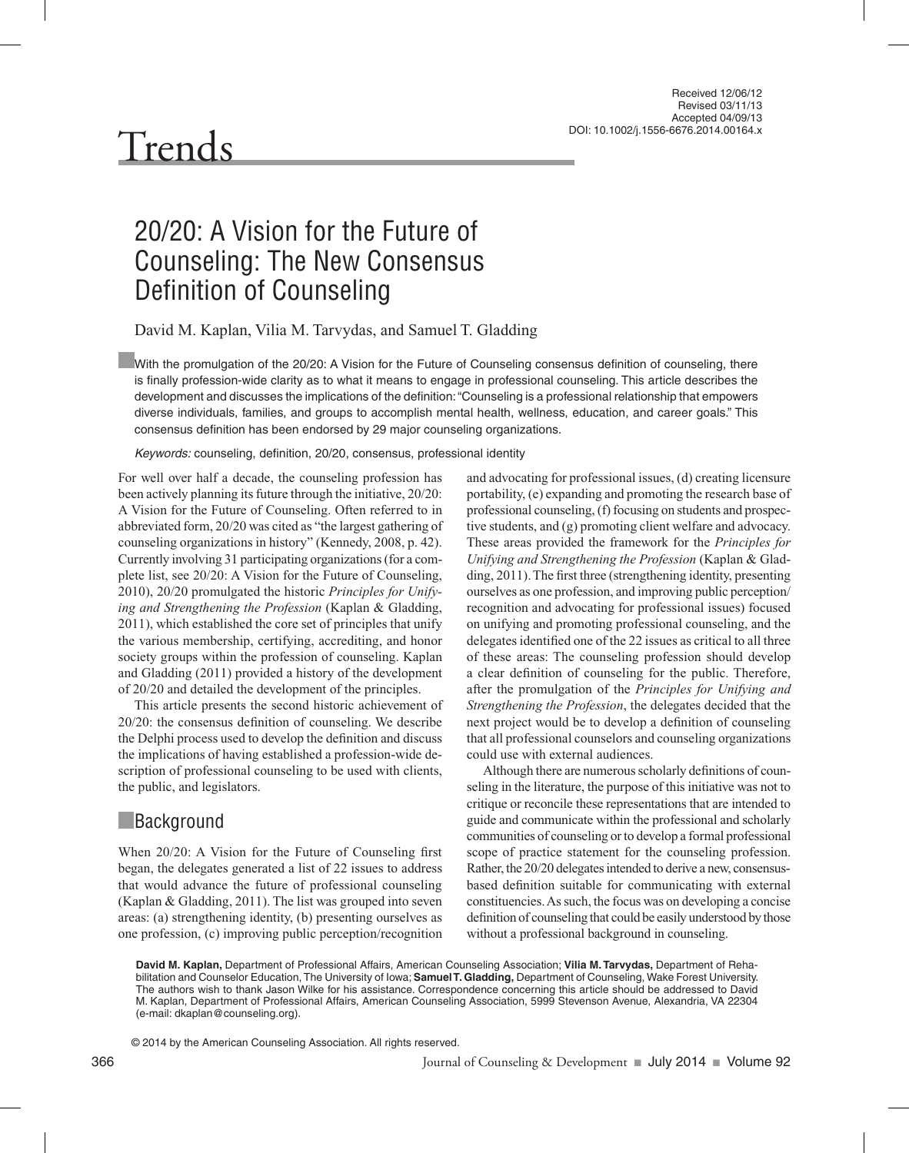# Trends

## 20/20: A Vision for the Future of Counseling: The New Consensus Definition of Counseling

David M. Kaplan, Vilia M. Tarvydas, and Samuel T. Gladding

With the promulgation of the 20/20: A Vision for the Future of Counseling consensus definition of counseling, there is finally profession-wide clarity as to what it means to engage in professional counseling. This article describes the development and discusses the implications of the definition: "Counseling is a professional relationship that empowers diverse individuals, families, and groups to accomplish mental health, wellness, education, and career goals." This consensus definition has been endorsed by 29 major counseling organizations.

*Keywords:* counseling, definition, 20/20, consensus, professional identity

For well over half a decade, the counseling profession has been actively planning its future through the initiative, 20/20: A Vision for the Future of Counseling. Often referred to in abbreviated form, 20/20 was cited as "the largest gathering of counseling organizations in history" (Kennedy, 2008, p. 42). Currently involving 31 participating organizations (for a complete list, see 20/20: A Vision for the Future of Counseling, 2010), 20/20 promulgated the historic *Principles for Unifying and Strengthening the Profession* (Kaplan & Gladding, 2011), which established the core set of principles that unify the various membership, certifying, accrediting, and honor society groups within the profession of counseling. Kaplan and Gladding (2011) provided a history of the development of 20/20 and detailed the development of the principles.

This article presents the second historic achievement of 20/20: the consensus definition of counseling. We describe the Delphi process used to develop the definition and discuss the implications of having established a profession-wide description of professional counseling to be used with clients, the public, and legislators.

## **Background**

When 20/20: A Vision for the Future of Counseling first began, the delegates generated a list of 22 issues to address that would advance the future of professional counseling (Kaplan & Gladding, 2011). The list was grouped into seven areas: (a) strengthening identity, (b) presenting ourselves as one profession, (c) improving public perception/recognition and advocating for professional issues, (d) creating licensure portability, (e) expanding and promoting the research base of professional counseling, (f) focusing on students and prospective students, and (g) promoting client welfare and advocacy. These areas provided the framework for the *Principles for Unifying and Strengthening the Profession* (Kaplan & Gladding, 2011). The first three (strengthening identity, presenting ourselves as one profession, and improving public perception/ recognition and advocating for professional issues) focused on unifying and promoting professional counseling, and the delegates identified one of the 22 issues as critical to all three of these areas: The counseling profession should develop a clear definition of counseling for the public. Therefore, after the promulgation of the *Principles for Unifying and Strengthening the Profession*, the delegates decided that the next project would be to develop a definition of counseling that all professional counselors and counseling organizations could use with external audiences.

Although there are numerous scholarly definitions of counseling in the literature, the purpose of this initiative was not to critique or reconcile these representations that are intended to guide and communicate within the professional and scholarly communities of counseling or to develop a formal professional scope of practice statement for the counseling profession. Rather, the 20/20 delegates intended to derive a new, consensusbased definition suitable for communicating with external constituencies. As such, the focus was on developing a concise definition of counseling that could be easily understood by those without a professional background in counseling.

**David M. Kaplan,** Department of Professional Affairs, American Counseling Association; **Vilia M. Tarvydas,** Department of Rehabilitation and Counselor Education, The University of Iowa; **Samuel T. Gladding,** Department of Counseling, Wake Forest University. The authors wish to thank Jason Wilke for his assistance. Correspondence concerning this article should be addressed to David M. Kaplan, Department of Professional Affairs, American Counseling Association, 5999 Stevenson Avenue, Alexandria, VA 22304 (e-mail: dkaplan@counseling.org).

© 2014 by the American Counseling Association. All rights reserved.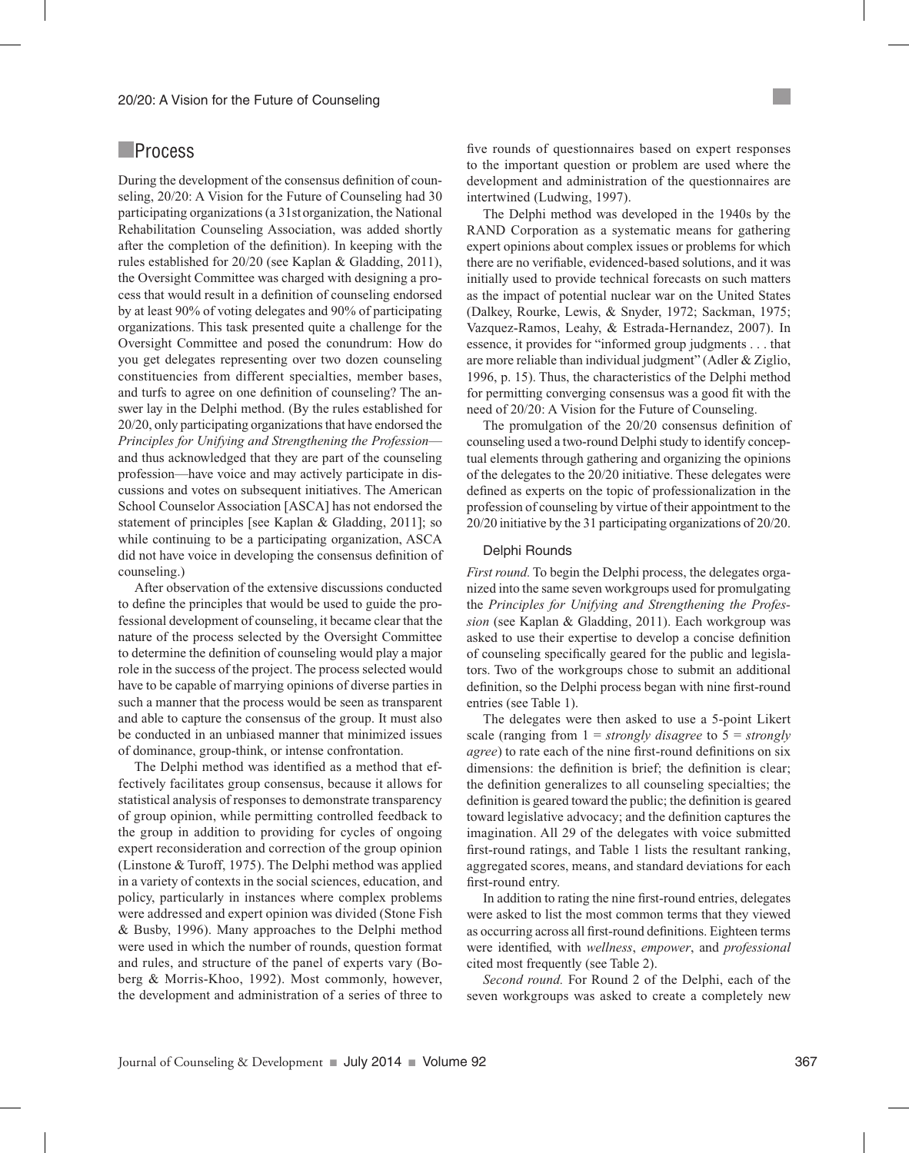## **Process**

During the development of the consensus definition of counseling, 20/20: A Vision for the Future of Counseling had 30 participating organizations (a 31storganization, the National Rehabilitation Counseling Association, was added shortly after the completion of the definition). In keeping with the rules established for 20/20 (see Kaplan & Gladding, 2011), the Oversight Committee was charged with designing a process that would result in a definition of counseling endorsed by at least 90% of voting delegates and 90% of participating organizations. This task presented quite a challenge for the Oversight Committee and posed the conundrum: How do you get delegates representing over two dozen counseling constituencies from different specialties, member bases, and turfs to agree on one definition of counseling? The answer lay in the Delphi method. (By the rules established for 20/20, only participating organizations that have endorsed the *Principles for Unifying and Strengthening the Profession* and thus acknowledged that they are part of the counseling profession—have voice and may actively participate in discussions and votes on subsequent initiatives. The American School Counselor Association [ASCA] has not endorsed the statement of principles [see Kaplan & Gladding, 2011]; so while continuing to be a participating organization, ASCA did not have voice in developing the consensus definition of counseling.)

After observation of the extensive discussions conducted to define the principles that would be used to guide the professional development of counseling, it became clear that the nature of the process selected by the Oversight Committee to determine the definition of counseling would play a major role in the success of the project. The process selected would have to be capable of marrying opinions of diverse parties in such a manner that the process would be seen as transparent and able to capture the consensus of the group. It must also be conducted in an unbiased manner that minimized issues of dominance, group-think, or intense confrontation.

The Delphi method was identified as a method that effectively facilitates group consensus, because it allows for statistical analysis of responses to demonstrate transparency of group opinion, while permitting controlled feedback to the group in addition to providing for cycles of ongoing expert reconsideration and correction of the group opinion (Linstone & Turoff, 1975). The Delphi method was applied in a variety of contexts in the social sciences, education, and policy, particularly in instances where complex problems were addressed and expert opinion was divided (Stone Fish & Busby, 1996). Many approaches to the Delphi method were used in which the number of rounds, question format and rules, and structure of the panel of experts vary (Boberg & Morris-Khoo, 1992). Most commonly, however, the development and administration of a series of three to

five rounds of questionnaires based on expert responses to the important question or problem are used where the development and administration of the questionnaires are intertwined (Ludwing, 1997).

The Delphi method was developed in the 1940s by the RAND Corporation as a systematic means for gathering expert opinions about complex issues or problems for which there are no verifiable, evidenced-based solutions, and it was initially used to provide technical forecasts on such matters as the impact of potential nuclear war on the United States (Dalkey, Rourke, Lewis, & Snyder, 1972; Sackman, 1975; Vazquez-Ramos, Leahy, & Estrada-Hernandez, 2007). In essence, it provides for "informed group judgments . . . that are more reliable than individual judgment" (Adler & Ziglio, 1996, p. 15). Thus, the characteristics of the Delphi method for permitting converging consensus was a good fit with the need of 20/20: A Vision for the Future of Counseling.

The promulgation of the 20/20 consensus definition of counseling used a two-round Delphi study to identify conceptual elements through gathering and organizing the opinions of the delegates to the 20/20 initiative. These delegates were defined as experts on the topic of professionalization in the profession of counseling by virtue of their appointment to the 20/20 initiative by the 31 participating organizations of 20/20.

#### Delphi Rounds

*First round*. To begin the Delphi process, the delegates organized into the same seven workgroups used for promulgating the *Principles for Unifying and Strengthening the Profession* (see Kaplan & Gladding, 2011). Each workgroup was asked to use their expertise to develop a concise definition of counseling specifically geared for the public and legislators. Two of the workgroups chose to submit an additional definition, so the Delphi process began with nine first-round entries (see Table 1).

The delegates were then asked to use a 5-point Likert scale (ranging from 1 = *strongly disagree* to 5 = *strongly agree*) to rate each of the nine first-round definitions on six dimensions: the definition is brief; the definition is clear; the definition generalizes to all counseling specialties; the definition is geared toward the public; the definition is geared toward legislative advocacy; and the definition captures the imagination. All 29 of the delegates with voice submitted first-round ratings, and Table 1 lists the resultant ranking, aggregated scores, means, and standard deviations for each first-round entry.

In addition to rating the nine first-round entries, delegates were asked to list the most common terms that they viewed as occurring across all first-round definitions. Eighteen terms were identified, with *wellness*, *empower*, and *professional* cited most frequently (see Table 2).

*Second round.* For Round 2 of the Delphi, each of the seven workgroups was asked to create a completely new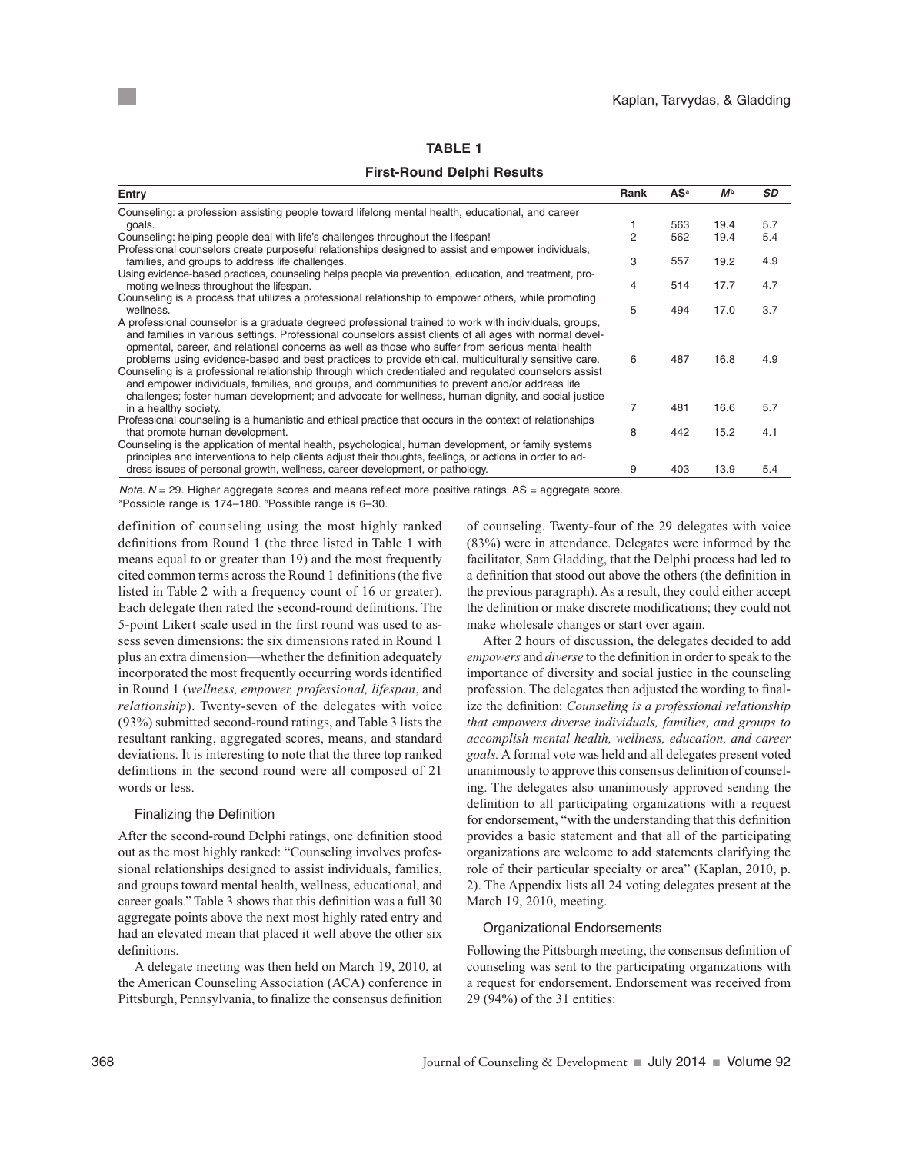## **Table 1**

### **First-Round Delphi Results**

| Entry                                                                                                    | Rank | AS <sup>a</sup> | M <sub>b</sub> | <b>SD</b> |
|----------------------------------------------------------------------------------------------------------|------|-----------------|----------------|-----------|
| Counseling: a profession assisting people toward lifelong mental health, educational, and career         |      |                 |                |           |
| goals.                                                                                                   |      | 563             | 19.4           | 5.7       |
| Counseling: helping people deal with life's challenges throughout the lifespan!                          | 2    | 562             | 19.4           | 5.4       |
| Professional counselors create purposeful relationships designed to assist and empower individuals,      |      |                 |                |           |
| families, and groups to address life challenges.                                                         | 3    | 557             | 19.2           | 4.9       |
| Using evidence-based practices, counseling helps people via prevention, education, and treatment, pro-   |      |                 |                |           |
| moting wellness throughout the lifespan.                                                                 | 4    | 514             | 17.7           | 4.7       |
| Counseling is a process that utilizes a professional relationship to empower others, while promoting     |      |                 |                |           |
| wellness.                                                                                                | 5    | 494             | 17.0           | 3.7       |
| A professional counselor is a graduate degreed professional trained to work with individuals, groups,    |      |                 |                |           |
| and families in various settings. Professional counselors assist clients of all ages with normal devel-  |      |                 |                |           |
| opmental, career, and relational concerns as well as those who suffer from serious mental health         |      |                 |                |           |
| problems using evidence-based and best practices to provide ethical, multiculturally sensitive care.     | 6    | 487             | 16.8           | 4.9       |
| Counseling is a professional relationship through which credentialed and regulated counselors assist     |      |                 |                |           |
| and empower individuals, families, and groups, and communities to prevent and/or address life            |      |                 |                |           |
| challenges; foster human development; and advocate for wellness, human dignity, and social justice       |      |                 |                |           |
| in a healthy society.                                                                                    | 7    | 481             | 16.6           | 5.7       |
| Professional counseling is a humanistic and ethical practice that occurs in the context of relationships |      |                 |                |           |
| that promote human development.                                                                          | 8    | 442             | 15.2           | 4.1       |
| Counseling is the application of mental health, psychological, human development, or family systems      |      |                 |                |           |
| principles and interventions to help clients adjust their thoughts, feelings, or actions in order to ad- |      |                 |                |           |
| dress issues of personal growth, wellness, career development, or pathology.                             | 9    | 403             | 13.9           | 5.4       |

*Note.*  $N = 29$ . Higher aggregate scores and means reflect more positive ratings. AS = aggregate score. aPossible range is 174-180. **Possible range is 6-30.** 

definition of counseling using the most highly ranked definitions from Round 1 (the three listed in Table 1 with means equal to or greater than 19) and the most frequently cited common terms across the Round 1 definitions (the five listed in Table 2 with a frequency count of 16 or greater). Each delegate then rated the second-round definitions. The 5-point Likert scale used in the first round was used to assess seven dimensions: the six dimensions rated in Round 1 plus an extra dimension—whether the definition adequately incorporated the most frequently occurring words identified in Round 1 (*wellness, empower, professional, lifespan*, and *relationship*). Twenty-seven of the delegates with voice (93%) submitted second-round ratings, and Table 3 lists the resultant ranking, aggregated scores, means, and standard deviations. It is interesting to note that the three top ranked definitions in the second round were all composed of 21 words or less.

#### Finalizing the Definition

After the second-round Delphi ratings, one definition stood out as the most highly ranked: "Counseling involves professional relationships designed to assist individuals, families, and groups toward mental health, wellness, educational, and career goals." Table 3 shows that this definition was a full 30 aggregate points above the next most highly rated entry and had an elevated mean that placed it well above the other six definitions.

A delegate meeting was then held on March 19, 2010, at the American Counseling Association (ACA) conference in Pittsburgh, Pennsylvania, to finalize the consensus definition of counseling. Twenty-four of the 29 delegates with voice (83%) were in attendance. Delegates were informed by the facilitator, Sam Gladding, that the Delphi process had led to a definition that stood out above the others (the definition in the previous paragraph). As a result, they could either accept the definition or make discrete modifications; they could not make wholesale changes or start over again.

After 2 hours of discussion, the delegates decided to add *empowers* and *diverse* to the definition in order to speak to the importance of diversity and social justice in the counseling profession. The delegates then adjusted the wording to finalize the definition: *Counseling is a professional relationship that empowers diverse individuals, families, and groups to accomplish mental health, wellness, education, and career goals.* A formal vote was held and all delegates present voted unanimously to approve this consensus definition of counseling. The delegates also unanimously approved sending the definition to all participating organizations with a request for endorsement, "with the understanding that this definition provides a basic statement and that all of the participating organizations are welcome to add statements clarifying the role of their particular specialty or area" (Kaplan, 2010, p. 2). The Appendix lists all 24 voting delegates present at the March 19, 2010, meeting.

#### Organizational Endorsements

Following the Pittsburgh meeting, the consensus definition of counseling was sent to the participating organizations with a request for endorsement. Endorsement was received from 29 (94%) of the 31 entities: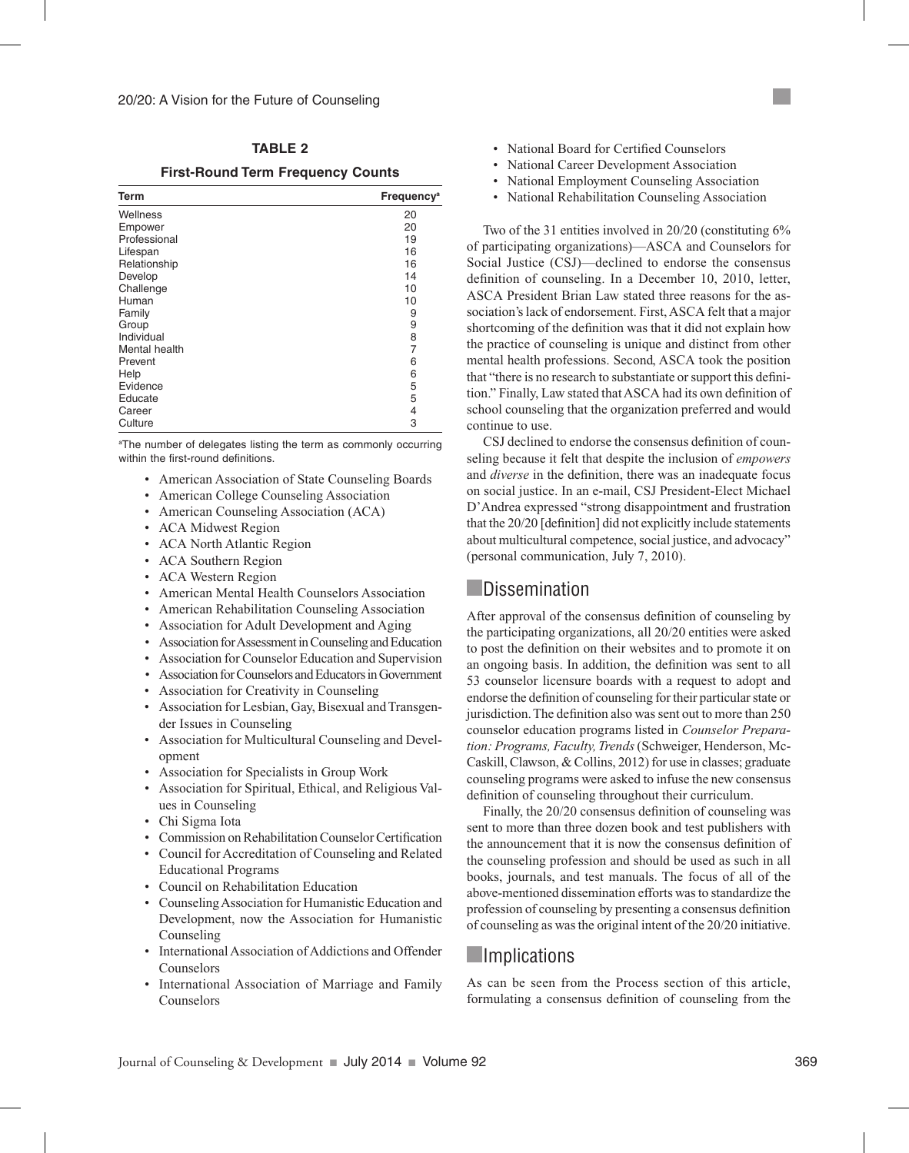**Table 2 First-Round Term Frequency Counts**

| Term          | Frequency <sup>a</sup> |
|---------------|------------------------|
| Wellness      | 20                     |
| Empower       | 20                     |
| Professional  | 19                     |
| Lifespan      | 16                     |
| Relationship  | 16                     |
| Develop       | 14                     |
| Challenge     | 10                     |
| Human         | 10                     |
| Family        | 9                      |
| Group         | 9                      |
| Individual    | 8                      |
| Mental health | $\overline{7}$         |
| Prevent       | 6                      |
| Help          | 6                      |
| Evidence      | $\frac{5}{5}$          |
| Educate       |                        |
| Career        | 4                      |
| Culture       | 3                      |

a The number of delegates listing the term as commonly occurring within the first-round definitions.

- American Association of State Counseling Boards
- American College Counseling Association
- American Counseling Association (ACA)
- ACA Midwest Region
- ACA North Atlantic Region
- ACA Southern Region
- ACA Western Region
- American Mental Health Counselors Association
- American Rehabilitation Counseling Association
- Association for Adult Development and Aging
- Association for Assessment in Counseling and Education
- Association for Counselor Education and Supervision
- Association for Counselors and Educators in Government
- Association for Creativity in Counseling
- Association for Lesbian, Gay, Bisexual and Transgender Issues in Counseling
- Association for Multicultural Counseling and Development
- Association for Specialists in Group Work
- Association for Spiritual, Ethical, and Religious Values in Counseling
- Chi Sigma Iota
- Commission on Rehabilitation Counselor Certification
- Council for Accreditation of Counseling and Related Educational Programs
- Council on Rehabilitation Education
- Counseling Association for Humanistic Education and Development, now the Association for Humanistic Counseling
- International Association of Addictions and Offender Counselors
- International Association of Marriage and Family Counselors
- National Board for Certified Counselors
- National Career Development Association
- National Employment Counseling Association
- National Rehabilitation Counseling Association

Two of the 31 entities involved in 20/20 (constituting 6% of participating organizations)—ASCA and Counselors for Social Justice (CSJ)—declined to endorse the consensus definition of counseling. In a December 10, 2010, letter, ASCA President Brian Law stated three reasons for the association's lack of endorsement. First, ASCA felt that a major shortcoming of the definition was that it did not explain how the practice of counseling is unique and distinct from other mental health professions. Second, ASCA took the position that "there is no research to substantiate or support this definition." Finally, Law stated that ASCA had its own definition of school counseling that the organization preferred and would continue to use.

CSJ declined to endorse the consensus definition of counseling because it felt that despite the inclusion of *empowers* and *diverse* in the definition, there was an inadequate focus on social justice. In an e-mail, CSJ President-Elect Michael D'Andrea expressed "strong disappointment and frustration that the 20/20 [definition] did not explicitly include statements about multicultural competence, social justice, and advocacy" (personal communication, July 7, 2010).

## **Dissemination**

After approval of the consensus definition of counseling by the participating organizations, all 20/20 entities were asked to post the definition on their websites and to promote it on an ongoing basis. In addition, the definition was sent to all 53 counselor licensure boards with a request to adopt and endorse the definition of counseling for their particular state or jurisdiction. The definition also was sent out to more than 250 counselor education programs listed in *Counselor Preparation: Programs, Faculty, Trends* (Schweiger, Henderson, Mc-Caskill, Clawson, & Collins, 2012) for use in classes; graduate counseling programs were asked to infuse the new consensus definition of counseling throughout their curriculum.

Finally, the 20/20 consensus definition of counseling was sent to more than three dozen book and test publishers with the announcement that it is now the consensus definition of the counseling profession and should be used as such in all books, journals, and test manuals. The focus of all of the above-mentioned dissemination efforts was to standardize the profession of counseling by presenting a consensus definition of counseling as was the original intent of the 20/20 initiative.

## **Implications**

As can be seen from the Process section of this article, formulating a consensus definition of counseling from the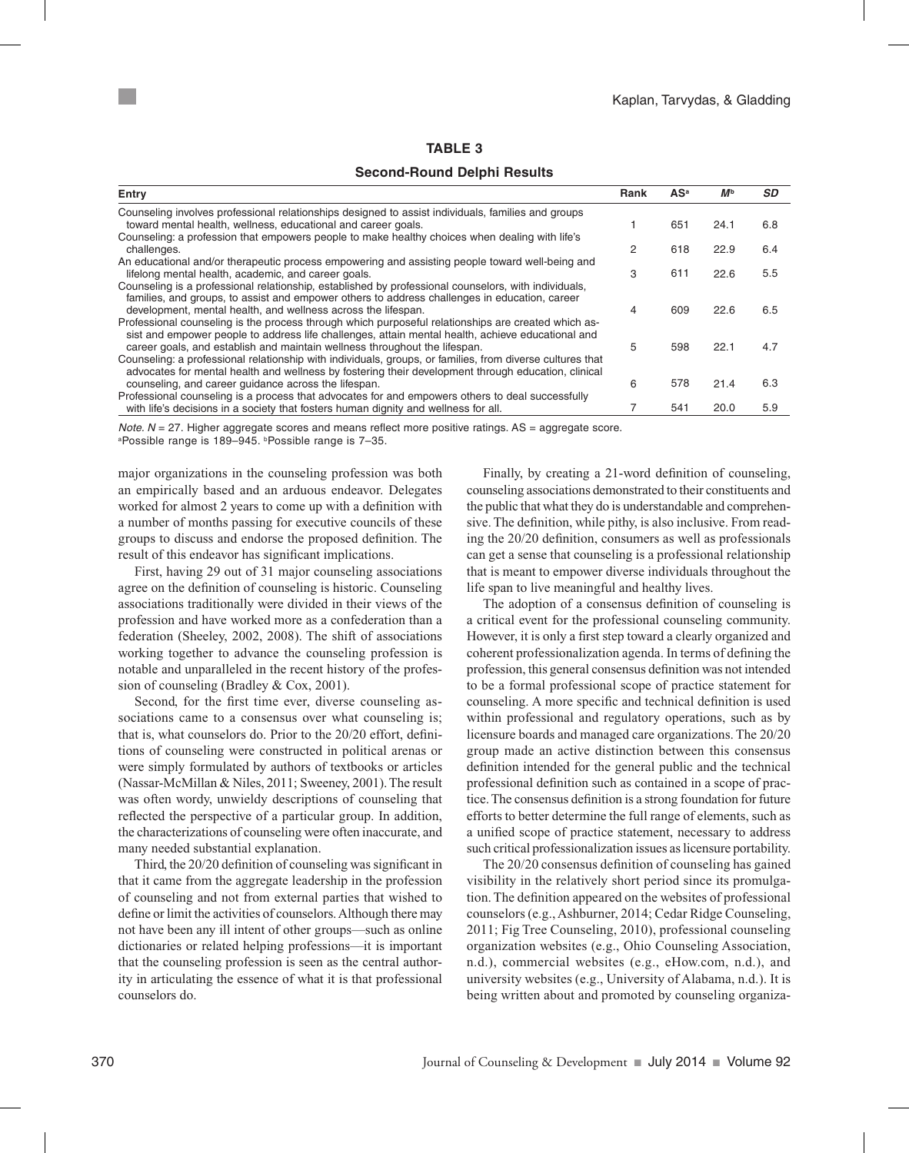### **Table 3**

#### **Second-Round Delphi Results**

| Entry                                                                                                                                                                                                                                                                                  | Rank | AS <sup>a</sup> | $M^{\rm b}$ | <b>SD</b> |
|----------------------------------------------------------------------------------------------------------------------------------------------------------------------------------------------------------------------------------------------------------------------------------------|------|-----------------|-------------|-----------|
| Counseling involves professional relationships designed to assist individuals, families and groups<br>toward mental health, wellness, educational and career goals.                                                                                                                    |      | 651             | 24.1        | 6.8       |
| Counseling: a profession that empowers people to make healthy choices when dealing with life's<br>challenges.                                                                                                                                                                          | 2    | 618             | 22.9        | 6.4       |
| An educational and/or therapeutic process empowering and assisting people toward well-being and<br>lifelong mental health, academic, and career goals.                                                                                                                                 | 3    | 611             | 22.6        | 5.5       |
| Counseling is a professional relationship, established by professional counselors, with individuals,<br>families, and groups, to assist and empower others to address challenges in education, career<br>development, mental health, and wellness across the lifespan.                 | 4    | 609             | 22.6        | 6.5       |
| Professional counseling is the process through which purposeful relationships are created which as-<br>sist and empower people to address life challenges, attain mental health, achieve educational and<br>career goals, and establish and maintain wellness throughout the lifespan. | 5    | 598             | 22.1        | 4.7       |
| Counseling: a professional relationship with individuals, groups, or families, from diverse cultures that<br>advocates for mental health and wellness by fostering their development through education, clinical                                                                       |      |                 |             |           |
| counseling, and career guidance across the lifespan.<br>Professional counseling is a process that advocates for and empowers others to deal successfully                                                                                                                               | 6    | 578             | 21.4        | 6.3       |
| with life's decisions in a society that fosters human dignity and wellness for all.                                                                                                                                                                                                    |      | 541             | 20.0        | 5.9       |

*Note.*  $N = 27$ . Higher aggregate scores and means reflect more positive ratings. AS = aggregate score. aPossible range is 189-945. **Possible range is 7-35.** 

major organizations in the counseling profession was both an empirically based and an arduous endeavor. Delegates worked for almost 2 years to come up with a definition with a number of months passing for executive councils of these groups to discuss and endorse the proposed definition. The result of this endeavor has significant implications.

First, having 29 out of 31 major counseling associations agree on the definition of counseling is historic. Counseling associations traditionally were divided in their views of the profession and have worked more as a confederation than a federation (Sheeley, 2002, 2008). The shift of associations working together to advance the counseling profession is notable and unparalleled in the recent history of the profession of counseling (Bradley & Cox, 2001).

Second, for the first time ever, diverse counseling associations came to a consensus over what counseling is; that is, what counselors do. Prior to the 20/20 effort, definitions of counseling were constructed in political arenas or were simply formulated by authors of textbooks or articles (Nassar-McMillan & Niles, 2011; Sweeney, 2001). The result was often wordy, unwieldy descriptions of counseling that reflected the perspective of a particular group. In addition, the characterizations of counseling were often inaccurate, and many needed substantial explanation.

Third, the 20/20 definition of counseling was significant in that it came from the aggregate leadership in the profession of counseling and not from external parties that wished to define or limit the activities of counselors. Although there may not have been any ill intent of other groups—such as online dictionaries or related helping professions—it is important that the counseling profession is seen as the central authority in articulating the essence of what it is that professional counselors do.

Finally, by creating a 21-word definition of counseling, counseling associations demonstrated to their constituents and the public that what they do is understandable and comprehensive. The definition, while pithy, is also inclusive. From reading the 20/20 definition, consumers as well as professionals can get a sense that counseling is a professional relationship that is meant to empower diverse individuals throughout the life span to live meaningful and healthy lives.

The adoption of a consensus definition of counseling is a critical event for the professional counseling community. However, it is only a first step toward a clearly organized and coherent professionalization agenda. In terms of defining the profession, this general consensus definition was not intended to be a formal professional scope of practice statement for counseling. A more specific and technical definition is used within professional and regulatory operations, such as by licensure boards and managed care organizations. The 20/20 group made an active distinction between this consensus definition intended for the general public and the technical professional definition such as contained in a scope of practice. The consensus definition is a strong foundation for future efforts to better determine the full range of elements, such as a unified scope of practice statement, necessary to address such critical professionalization issues as licensure portability.

The 20/20 consensus definition of counseling has gained visibility in the relatively short period since its promulgation. The definition appeared on the websites of professional counselors (e.g., Ashburner, 2014; Cedar Ridge Counseling, 2011; Fig Tree Counseling, 2010), professional counseling organization websites (e.g., Ohio Counseling Association, n.d.), commercial websites (e.g., eHow.com, n.d.), and university websites (e.g., University of Alabama, n.d.). It is being written about and promoted by counseling organiza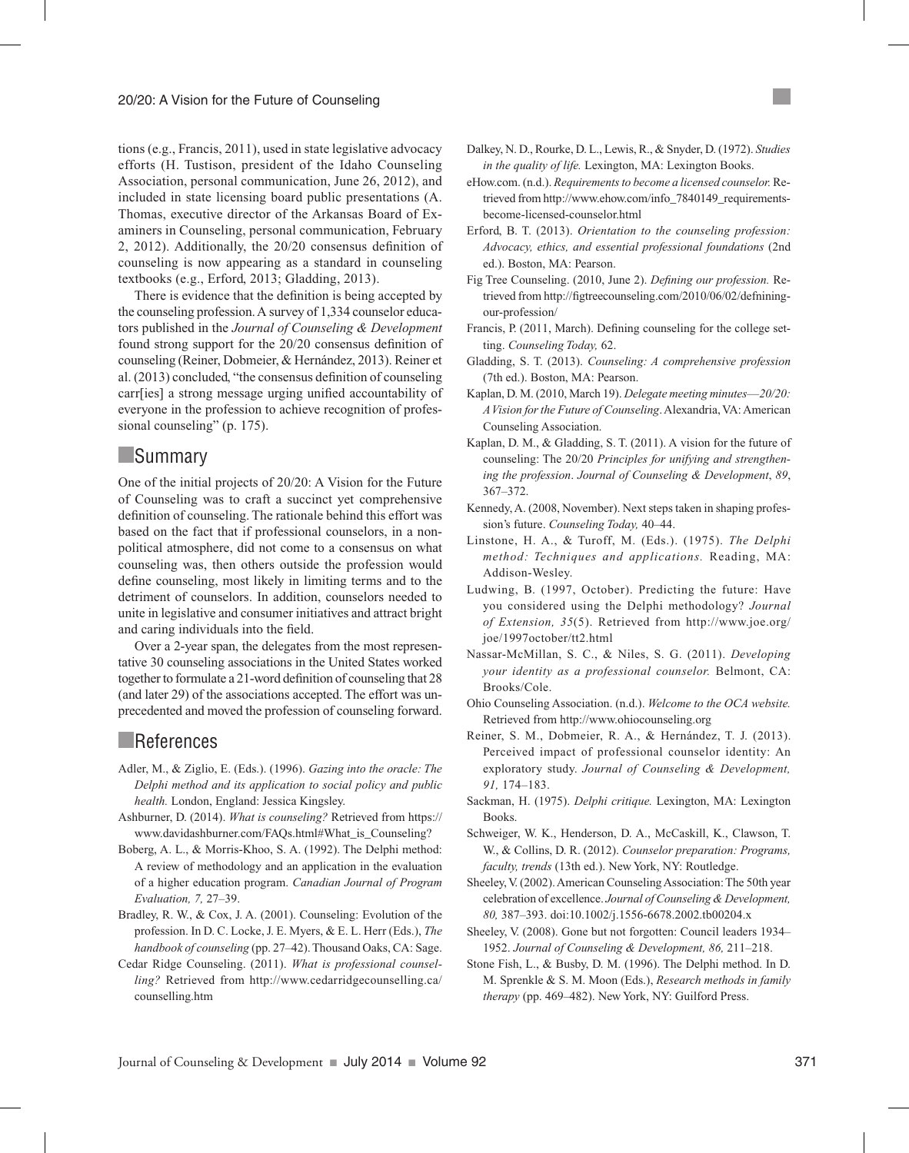tions (e.g., Francis, 2011), used in state legislative advocacy efforts (H. Tustison, president of the Idaho Counseling Association, personal communication, June 26, 2012), and included in state licensing board public presentations (A. Thomas, executive director of the Arkansas Board of Examiners in Counseling, personal communication, February 2, 2012). Additionally, the 20/20 consensus definition of counseling is now appearing as a standard in counseling textbooks (e.g., Erford, 2013; Gladding, 2013).

There is evidence that the definition is being accepted by the counseling profession. A survey of 1,334 counselor educators published in the *Journal of Counseling & Development*  found strong support for the 20/20 consensus definition of counseling (Reiner, Dobmeier, & Hernández, 2013). Reiner et al. (2013) concluded, "the consensus definition of counseling carr[ies] a strong message urging unified accountability of everyone in the profession to achieve recognition of professional counseling" (p. 175).

## **Summary**

One of the initial projects of 20/20: A Vision for the Future of Counseling was to craft a succinct yet comprehensive definition of counseling. The rationale behind this effort was based on the fact that if professional counselors, in a nonpolitical atmosphere, did not come to a consensus on what counseling was, then others outside the profession would define counseling, most likely in limiting terms and to the detriment of counselors. In addition, counselors needed to unite in legislative and consumer initiatives and attract bright and caring individuals into the field.

Over a 2-year span, the delegates from the most representative 30 counseling associations in the United States worked together to formulate a 21-word definition of counseling that 28 (and later 29) of the associations accepted. The effort was unprecedented and moved the profession of counseling forward.

## **References**

- Adler, M., & Ziglio, E. (Eds.). (1996). *Gazing into the oracle: The Delphi method and its application to social policy and public health.* London, England: Jessica Kingsley.
- Ashburner, D. (2014). *What is counseling?* Retrieved from https:// www.davidashburner.com/FAQs.html#What\_is\_Counseling?
- Boberg, A. L., & Morris-Khoo, S. A. (1992). The Delphi method: A review of methodology and an application in the evaluation of a higher education program. *Canadian Journal of Program Evaluation, 7,* 27–39.
- Bradley, R. W., & Cox, J. A. (2001). Counseling: Evolution of the profession. In D. C. Locke, J. E. Myers, & E. L. Herr (Eds.), *The handbook of counseling* (pp. 27–42). Thousand Oaks, CA: Sage.
- Cedar Ridge Counseling. (2011). *What is professional counselling?* Retrieved from http://www.cedarridgecounselling.ca/ counselling.htm
- eHow.com. (n.d.). *Requirements to become a licensed counselor.* Retrieved from http://www.ehow.com/info\_7840149\_requirementsbecome-licensed-counselor.html
- Erford, B. T. (2013). *Orientation to the counseling profession: Advocacy, ethics, and essential professional foundations* (2nd ed.). Boston, MA: Pearson.
- Fig Tree Counseling. (2010, June 2). *Defining our profession.* Retrieved from http://figtreecounseling.com/2010/06/02/defniningour-profession/
- Francis, P. (2011, March). Defining counseling for the college setting. *Counseling Today,* 62.
- Gladding, S. T. (2013). *Counseling: A comprehensive profession* (7th ed.). Boston, MA: Pearson.
- Kaplan, D. M. (2010, March 19). *Delegate meeting minutes*—*20/20: A Vision for the Future of Counseling*. Alexandria, VA: American Counseling Association.
- Kaplan, D. M., & Gladding, S. T. (2011). A vision for the future of counseling: The 20/20 *Principles for unifying and strengthening the profession*. *Journal of Counseling & Development*, *89*, 367–372.
- Kennedy, A. (2008, November). Next steps taken in shaping profession's future. *Counseling Today,* 40–44.
- Linstone, H. A., & Turoff, M. (Eds.). (1975). *The Delphi method: Techniques and applications.* Reading, MA: Addison-Wesley.
- Ludwing, B. (1997, October). Predicting the future: Have you considered using the Delphi methodology? *Journal of Extension, 35*(5). Retrieved from http://www.joe.org/ joe/1997october/tt2.html
- Nassar-McMillan, S. C., & Niles, S. G. (2011). *Developing your identity as a professional counselor.* Belmont, CA: Brooks/Cole.
- Ohio Counseling Association. (n.d.). *Welcome to the OCA website.* Retrieved from http://www.ohiocounseling.org
- Reiner, S. M., Dobmeier, R. A., & Hernández, T. J. (2013). Perceived impact of professional counselor identity: An exploratory study. *Journal of Counseling & Development, 91,* 174–183.
- Sackman, H. (1975). *Delphi critique.* Lexington, MA: Lexington Books.
- Schweiger, W. K., Henderson, D. A., McCaskill, K., Clawson, T. W., & Collins, D. R. (2012). *Counselor preparation: Programs, faculty, trends* (13th ed.). New York, NY: Routledge.
- Sheeley, V. (2002). American Counseling Association: The 50th year celebration of excellence. *Journal of Counseling & Development, 80,* 387–393. doi:10.1002/j.1556-6678.2002.tb00204.x
- Sheeley, V. (2008). Gone but not forgotten: Council leaders 1934– 1952. *Journal of Counseling & Development, 86,* 211–218.
- Stone Fish, L., & Busby, D. M. (1996). The Delphi method. In D. M. Sprenkle & S. M. Moon (Eds.), *Research methods in family therapy* (pp. 469–482). New York, NY: Guilford Press.